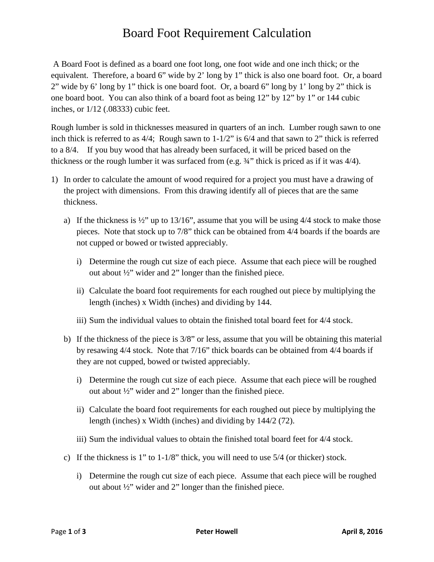## Board Foot Requirement Calculation

A Board Foot is defined as a board one foot long, one foot wide and one inch thick; or the equivalent. Therefore, a board 6" wide by 2' long by 1" thick is also one board foot. Or, a board 2" wide by 6' long by 1" thick is one board foot. Or, a board 6" long by 1' long by 2" thick is one board boot. You can also think of a board foot as being 12" by 12" by 1" or 144 cubic inches, or 1/12 (.08333) cubic feet.

Rough lumber is sold in thicknesses measured in quarters of an inch. Lumber rough sawn to one inch thick is referred to as 4/4; Rough sawn to 1-1/2" is 6/4 and that sawn to 2" thick is referred to a 8/4. If you buy wood that has already been surfaced, it will be priced based on the thickness or the rough lumber it was surfaced from (e.g. ¾" thick is priced as if it was 4/4).

- 1) In order to calculate the amount of wood required for a project you must have a drawing of the project with dimensions. From this drawing identify all of pieces that are the same thickness.
	- a) If the thickness is  $\frac{1}{2}$ " up to 13/16", assume that you will be using 4/4 stock to make those pieces. Note that stock up to 7/8" thick can be obtained from 4/4 boards if the boards are not cupped or bowed or twisted appreciably.
		- i) Determine the rough cut size of each piece. Assume that each piece will be roughed out about ½" wider and 2" longer than the finished piece.
		- ii) Calculate the board foot requirements for each roughed out piece by multiplying the length (inches) x Width (inches) and dividing by 144.
		- iii) Sum the individual values to obtain the finished total board feet for 4/4 stock.
	- b) If the thickness of the piece is 3/8" or less, assume that you will be obtaining this material by resawing 4/4 stock. Note that 7/16" thick boards can be obtained from 4/4 boards if they are not cupped, bowed or twisted appreciably.
		- i) Determine the rough cut size of each piece. Assume that each piece will be roughed out about ½" wider and 2" longer than the finished piece.
		- ii) Calculate the board foot requirements for each roughed out piece by multiplying the length (inches) x Width (inches) and dividing by 144/2 (72).
		- iii) Sum the individual values to obtain the finished total board feet for 4/4 stock.
	- c) If the thickness is 1" to 1-1/8" thick, you will need to use 5/4 (or thicker) stock.
		- i) Determine the rough cut size of each piece. Assume that each piece will be roughed out about ½" wider and 2" longer than the finished piece.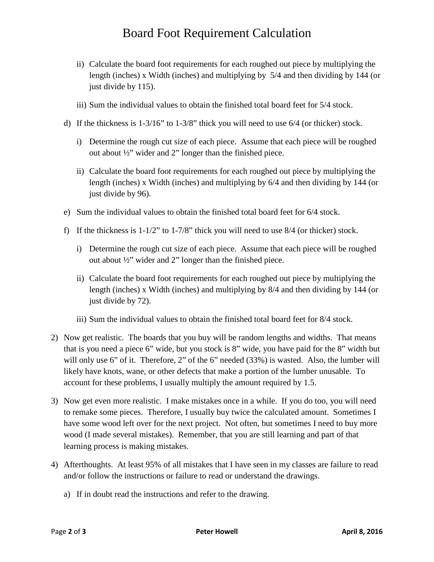## Board Foot Requirement Calculation

- ii) Calculate the board foot requirements for each roughed out piece by multiplying the length (inches) x Width (inches) and multiplying by 5/4 and then dividing by 144 (or just divide by 115).
- iii) Sum the individual values to obtain the finished total board feet for 5/4 stock.
- d) If the thickness is 1-3/16" to 1-3/8" thick you will need to use 6/4 (or thicker) stock.
	- i) Determine the rough cut size of each piece. Assume that each piece will be roughed out about ½" wider and 2" longer than the finished piece.
	- ii) Calculate the board foot requirements for each roughed out piece by multiplying the length (inches) x Width (inches) and multiplying by 6/4 and then dividing by 144 (or just divide by 96).
- e) Sum the individual values to obtain the finished total board feet for 6/4 stock.
- f) If the thickness is 1-1/2" to 1-7/8" thick you will need to use 8/4 (or thicker) stock.
	- i) Determine the rough cut size of each piece. Assume that each piece will be roughed out about  $\frac{1}{2}$ " wider and 2" longer than the finished piece.
	- ii) Calculate the board foot requirements for each roughed out piece by multiplying the length (inches) x Width (inches) and multiplying by 8/4 and then dividing by 144 (or just divide by 72).
	- iii) Sum the individual values to obtain the finished total board feet for 8/4 stock.
- 2) Now get realistic. The boards that you buy will be random lengths and widths. That means that is you need a piece 6" wide, but you stock is 8" wide, you have paid for the 8" width but will only use 6" of it. Therefore, 2" of the 6" needed (33%) is wasted. Also, the lumber will likely have knots, wane, or other defects that make a portion of the lumber unusable. To account for these problems, I usually multiply the amount required by 1.5.
- 3) Now get even more realistic. I make mistakes once in a while. If you do too, you will need to remake some pieces. Therefore, I usually buy twice the calculated amount. Sometimes I have some wood left over for the next project. Not often, but sometimes I need to buy more wood (I made several mistakes). Remember, that you are still learning and part of that learning process is making mistakes.
- 4) Afterthoughts. At least 95% of all mistakes that I have seen in my classes are failure to read and/or follow the instructions or failure to read or understand the drawings.
	- a) If in doubt read the instructions and refer to the drawing.